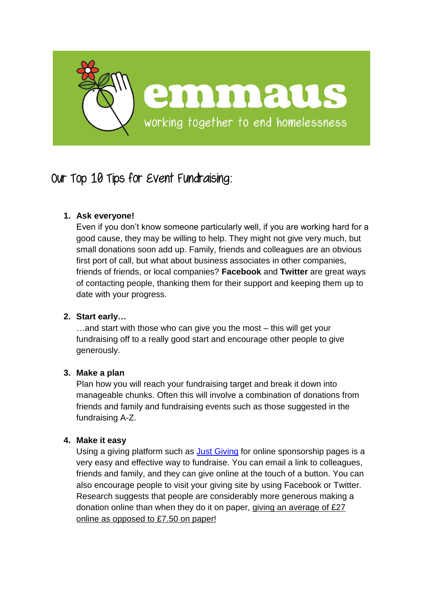

# Our Top 10 Tips for Event Fundraising:

# **1. Ask everyone!**

Even if you don't know someone particularly well, if you are working hard for a good cause, they may be willing to help. They might not give very much, but small donations soon add up. Family, friends and colleagues are an obvious first port of call, but what about business associates in other companies, friends of friends, or local companies? **Facebook** and **Twitter** are great ways of contacting people, thanking them for their support and keeping them up to date with your progress.

# **2. Start early…**

…and start with those who can give you the most – this will get your fundraising off to a really good start and encourage other people to give generously.

# **3. Make a plan**

Plan how you will reach your fundraising target and break it down into manageable chunks. Often this will involve a combination of donations from friends and family and fundraising events such as those suggested in the fundraising A-Z.

# **4. Make it easy**

Using a giving platform such as **Just Giving** for online s[ponsorship p](https://www.justgiving.com/)ages is a very easy and effective way to fundraise. You can email a link to colleagues, friends and family, and they can give online at the touch of a button. You can also encourage people to visit your giving site by using Facebook or Twitter. Research suggests that people are considerably more generous making a donation online than when they do it on paper, giving an average of £27 online as opposed to £7.50 on paper!